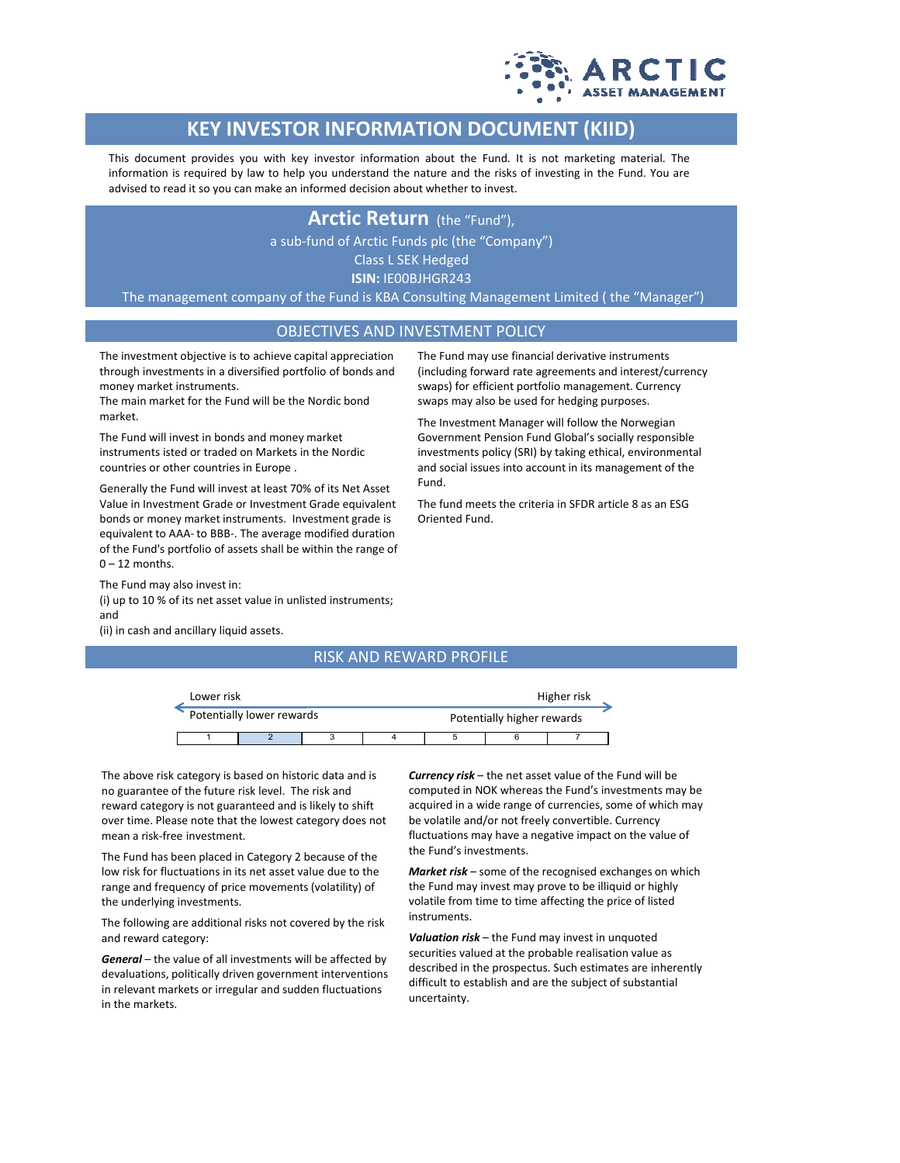

## **KEY INVESTOR INFORMATION DOCUMENT (KIID)**

This document provides you with key investor information about the Fund. It is not marketing material. The information is required by law to help you understand the nature and the risks of investing in the Fund. You are advised to read it so you can make an informed decision about whether to invest.

### **Arctic Return** (the "Fund"),

a sub-fund of Arctic Funds plc (the "Company")

Class L SEK Hedged **ISIN:** IE00BJHGR243

The management company of the Fund is KBA Consulting Management Limited ( the "Manager")

#### OBJECTIVES AND INVESTMENT POLICY

Fund.

Oriented Fund.

The investment objective is to achieve capital appreciation through investments in a diversified portfolio of bonds and money market instruments.

The main market for the Fund will be the Nordic bond market.

The Fund will invest in bonds and money market instruments isted or traded on Markets in the Nordic countries or other countries in Europe .

Generally the Fund will invest at least 70% of its Net Asset Value in Investment Grade or Investment Grade equivalent bonds or money market instruments. Investment grade is equivalent to AAA- to BBB-. The average modified duration of the Fund's portfolio of assets shall be within the range of  $0 - 12$  months.

The Fund may also invest in: (i) up to 10 % of its net asset value in unlisted instruments; and

(ii) in cash and ancillary liquid assets.

#### RISK AND REWARD PROFILE

| Lower risk                |  |  |  | Higher risk                |  |  |  |
|---------------------------|--|--|--|----------------------------|--|--|--|
| Potentially lower rewards |  |  |  | Potentially higher rewards |  |  |  |
|                           |  |  |  |                            |  |  |  |

The above risk category is based on historic data and is no guarantee of the future risk level. The risk and reward category is not guaranteed and is likely to shift over time. Please note that the lowest category does not mean a risk-free investment.

The Fund has been placed in Category 2 because of the low risk for fluctuations in its net asset value due to the range and frequency of price movements (volatility) of the underlying investments.

The following are additional risks not covered by the risk and reward category:

*General* – the value of all investments will be affected by devaluations, politically driven government interventions in relevant markets or irregular and sudden fluctuations in the markets.

*Currency risk* – the net asset value of the Fund will be computed in NOK whereas the Fund's investments may be acquired in a wide range of currencies, some of which may be volatile and/or not freely convertible. Currency fluctuations may have a negative impact on the value of the Fund's investments.

The Fund may use financial derivative instruments (including forward rate agreements and interest/currency swaps) for efficient portfolio management. Currency swaps may also be used for hedging purposes. The Investment Manager will follow the Norwegian Government Pension Fund Global's socially responsible investments policy (SRI) by taking ethical, environmental and social issues into account in its management of the

The fund meets the criteria in SFDR article 8 as an ESG

*Market risk* – some of the recognised exchanges on which the Fund may invest may prove to be illiquid or highly volatile from time to time affecting the price of listed instruments.

*Valuation risk* – the Fund may invest in unquoted securities valued at the probable realisation value as described in the prospectus. Such estimates are inherently difficult to establish and are the subject of substantial uncertainty.